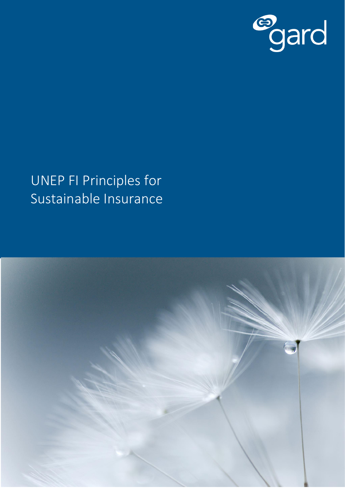

## UNEP FI Principles for Sustainable Insurance

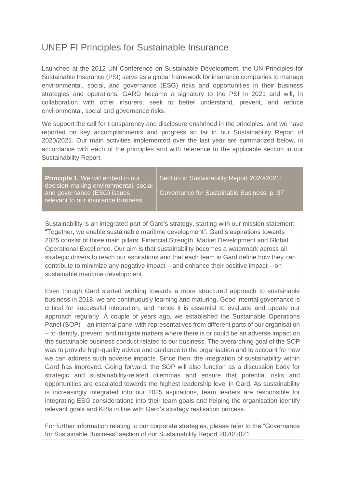## UNEP FI Principles for Sustainable Insurance

Launched at the 2012 UN Conference on Sustainable Development, the UN Principles for Sustainable Insurance (PSI) serve as a global framework for insurance companies to manage environmental, social, and governance (ESG) risks and opportunities in their business strategies and operations. GARD became a signatory to the PSI in 2021 and will, in collaboration with other insurers, seek to better understand, prevent, and reduce environmental, social and governance risks.

We support the call for transparency and disclosure enshrined in the principles, and we have reported on key accomplishments and progress so far in our Sustainability Report of 2020/2021. Our main activities implemented over the last year are summarized below, in accordance with each of the principles and with reference to the applicable section in our Sustainability Report.

**Principle 1**: We will embed in our decision-making environmental, social and governance (ESG) issues relevant to our insurance business

Section in Sustainability Report 2020/2021:

Governance for Sustainable Business, p. 37

Sustainability is an integrated part of Gard's strategy, starting with our mission statement "Together, we enable sustainable maritime development". Gard's aspirations towards 2025 consist of three main pillars: Financial Strength, Market Development and Global Operational Excellence. Our aim is that sustainability becomes a watermark across all strategic drivers to reach our aspirations and that each team in Gard define how they can contribute to minimize any negative impact – and enhance their positive impact – on sustainable maritime development.

Even though Gard started working towards a more structured approach to sustainable business in 2018, we are continuously learning and maturing. Good internal governance is critical for successful integration, and hence it is essential to evaluate and update our approach regularly. A couple of years ago, we established the Sustainable Operations Panel (SOP) – an internal panel with representatives from different parts of our organisation – to identify, prevent, and mitigate matters where there is or could be an adverse impact on the sustainable business conduct related to our business. The overarching goal of the SOP was to provide high-quality advice and guidance to the organisation and to account for how we can address such adverse impacts. Since then, the integration of sustainability within Gard has improved. Going forward, the SOP will also function as a discussion body for strategic and sustainability-related dilemmas and ensure that potential risks and opportunities are escalated towards the highest leadership level in Gard. As sustainability is increasingly integrated into our 2025 aspirations, team leaders are responsible for integrating ESG considerations into their team goals and helping the organisation identify relevant goals and KPIs in line with Gard's strategy realisation process.

For further information relating to our corporate strategies, please refer to the "Governance for Sustainable Business" section of our Sustainability Report 2020/2021.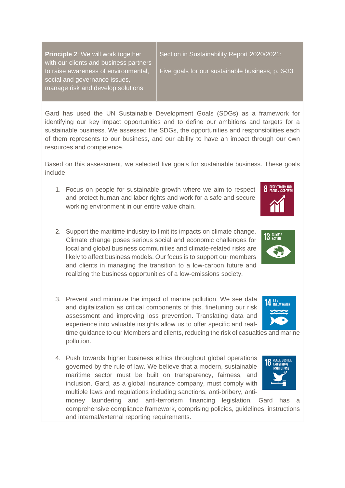**Principle 2**: We will work together with our clients and business partners to raise awareness of environmental, social and governance issues, manage risk and develop solutions

Section in Sustainability Report 2020/2021:

Five goals for our sustainable business, p. 6-33

Gard has used the UN Sustainable Development Goals (SDGs) as a framework for identifying our key impact opportunities and to define our ambitions and targets for a sustainable business. We assessed the SDGs, the opportunities and responsibilities each of them represents to our business, and our ability to have an impact through our own resources and competence.

Based on this assessment, we selected five goals for sustainable business. These goals include:

- 1. Focus on people for sustainable growth where we aim to respect and protect human and labor rights and work for a safe and secure working environment in our entire value chain.
- 2. Support the maritime industry to limit its impacts on climate change. Climate change poses serious social and economic challenges for local and global business communities and climate-related risks are likely to affect business models. Our focus is to support our members and clients in managing the transition to a low-carbon future and realizing the business opportunities of a low-emissions society.
- 3. Prevent and minimize the impact of marine pollution. We see data and digitalization as critical components of this, finetuning our risk assessment and improving loss prevention. Translating data and experience into valuable insights allow us to offer specific and real-

time guidance to our Members and clients, reducing the risk of casualties and marine pollution.

4. Push towards higher business ethics throughout global operations governed by the rule of law. We believe that a modern, sustainable maritime sector must be built on transparency, fairness, and inclusion. Gard, as a global insurance company, must comply with multiple laws and regulations including sanctions, anti-bribery, anti-

money laundering and anti-terrorism financing legislation. Gard has a comprehensive compliance framework, comprising policies, guidelines, instructions and internal/external reporting requirements.





**8** DECENT WORK AND